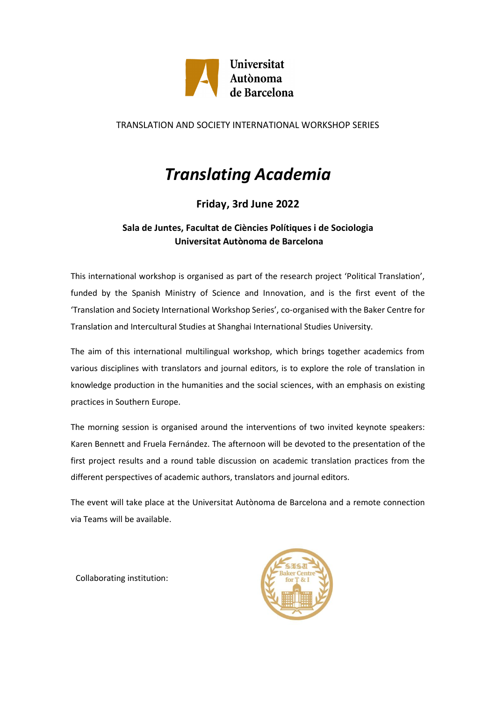

### TRANSLATION AND SOCIETY INTERNATIONAL WORKSHOP SERIES

# *Translating Academia*

## **Friday, 3rd June 2022**

### **Sala de Juntes, Facultat de Ciències Polítiques i de Sociologia Universitat Autònoma de Barcelona**

This international workshop is organised as part of the research project 'Political Translation', funded by the Spanish Ministry of Science and Innovation, and is the first event of the 'Translation and Society International Workshop Series', co-organised with the Baker Centre for Translation and Intercultural Studies at Shanghai International Studies University.

The aim of this international multilingual workshop, which brings together academics from various disciplines with translators and journal editors, is to explore the role of translation in knowledge production in the humanities and the social sciences, with an emphasis on existing practices in Southern Europe.

The morning session is organised around the interventions of two invited keynote speakers: Karen Bennett and Fruela Fernández. The afternoon will be devoted to the presentation of the first project results and a round table discussion on academic translation practices from the different perspectives of academic authors, translators and journal editors.

The event will take place at the Universitat Autònoma de Barcelona and a remote connection via Teams will be available.

Collaborating institution:

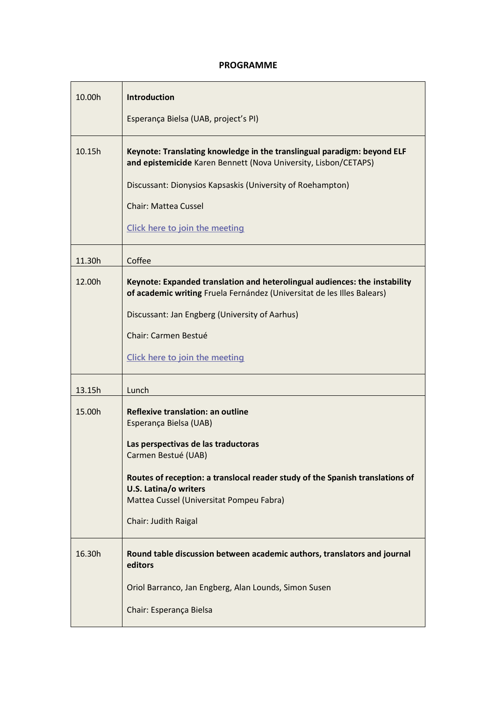### **PROGRAMME**

| 10.00h | <b>Introduction</b>                                                                                                                                                                                                                                                                                                   |
|--------|-----------------------------------------------------------------------------------------------------------------------------------------------------------------------------------------------------------------------------------------------------------------------------------------------------------------------|
|        | Esperança Bielsa (UAB, project's PI)                                                                                                                                                                                                                                                                                  |
| 10.15h | Keynote: Translating knowledge in the translingual paradigm: beyond ELF<br>and epistemicide Karen Bennett (Nova University, Lisbon/CETAPS)<br>Discussant: Dionysios Kapsaskis (University of Roehampton)<br><b>Chair: Mattea Cussel</b><br>Click here to join the meeting                                             |
| 11.30h | Coffee                                                                                                                                                                                                                                                                                                                |
| 12.00h | Keynote: Expanded translation and heterolingual audiences: the instability<br>of academic writing Fruela Fernández (Universitat de les Illes Balears)<br>Discussant: Jan Engberg (University of Aarhus)<br>Chair: Carmen Bestué<br>Click here to join the meeting                                                     |
| 13.15h | Lunch                                                                                                                                                                                                                                                                                                                 |
| 15.00h | <b>Reflexive translation: an outline</b><br>Esperança Bielsa (UAB)<br>Las perspectivas de las traductoras<br>Carmen Bestué (UAB)<br>Routes of reception: a translocal reader study of the Spanish translations of<br><b>U.S. Latina/o writers</b><br>Mattea Cussel (Universitat Pompeu Fabra)<br>Chair: Judith Raigal |
| 16.30h | Round table discussion between academic authors, translators and journal<br>editors                                                                                                                                                                                                                                   |
|        | Oriol Barranco, Jan Engberg, Alan Lounds, Simon Susen<br>Chair: Esperança Bielsa                                                                                                                                                                                                                                      |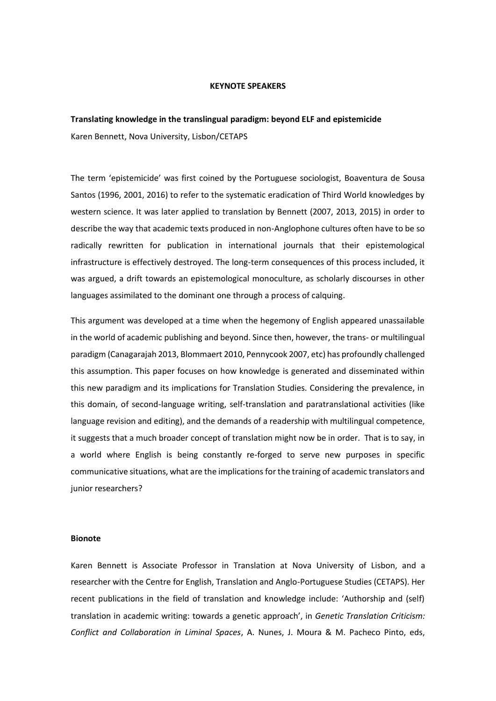#### **KEYNOTE SPEAKERS**

# **Translating knowledge in the translingual paradigm: beyond ELF and epistemicide**

Karen Bennett, Nova University, Lisbon/CETAPS

The term 'epistemicide' was first coined by the Portuguese sociologist, Boaventura de Sousa Santos (1996, 2001, 2016) to refer to the systematic eradication of Third World knowledges by western science. It was later applied to translation by Bennett (2007, 2013, 2015) in order to describe the way that academic texts produced in non-Anglophone cultures often have to be so radically rewritten for publication in international journals that their epistemological infrastructure is effectively destroyed. The long-term consequences of this process included, it was argued, a drift towards an epistemological monoculture, as scholarly discourses in other languages assimilated to the dominant one through a process of calquing.

This argument was developed at a time when the hegemony of English appeared unassailable in the world of academic publishing and beyond. Since then, however, the trans- or multilingual paradigm (Canagarajah 2013, Blommaert 2010, Pennycook 2007, etc) has profoundly challenged this assumption. This paper focuses on how knowledge is generated and disseminated within this new paradigm and its implications for Translation Studies. Considering the prevalence, in this domain, of second-language writing, self-translation and paratranslational activities (like language revision and editing), and the demands of a readership with multilingual competence, it suggests that a much broader concept of translation might now be in order. That is to say, in a world where English is being constantly re-forged to serve new purposes in specific communicative situations, what are the implications for the training of academic translators and junior researchers?

#### **Bionote**

Karen Bennett is Associate Professor in Translation at Nova University of Lisbon, and a researcher with the Centre for English, Translation and Anglo-Portuguese Studies (CETAPS). Her recent publications in the field of translation and knowledge include: 'Authorship and (self) translation in academic writing: towards a genetic approach', in *Genetic Translation Criticism: Conflict and Collaboration in Liminal Spaces*, A. Nunes, J. Moura & M. Pacheco Pinto, eds,